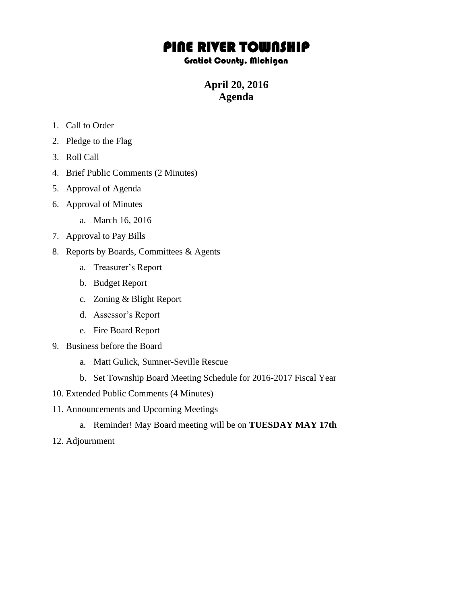## PINE RIVER TOWNSHIP

## Gratiot County, Michigan

**April 20, 2016 Agenda**

- 1. Call to Order
- 2. Pledge to the Flag
- 3. Roll Call
- 4. Brief Public Comments (2 Minutes)
- 5. Approval of Agenda
- 6. Approval of Minutes
	- a. March 16, 2016
- 7. Approval to Pay Bills
- 8. Reports by Boards, Committees & Agents
	- a. Treasurer's Report
	- b. Budget Report
	- c. Zoning & Blight Report
	- d. Assessor's Report
	- e. Fire Board Report
- 9. Business before the Board
	- a. Matt Gulick, Sumner-Seville Rescue
	- b. Set Township Board Meeting Schedule for 2016-2017 Fiscal Year
- 10. Extended Public Comments (4 Minutes)
- 11. Announcements and Upcoming Meetings
	- a. Reminder! May Board meeting will be on **TUESDAY MAY 17th**
- 12. Adjournment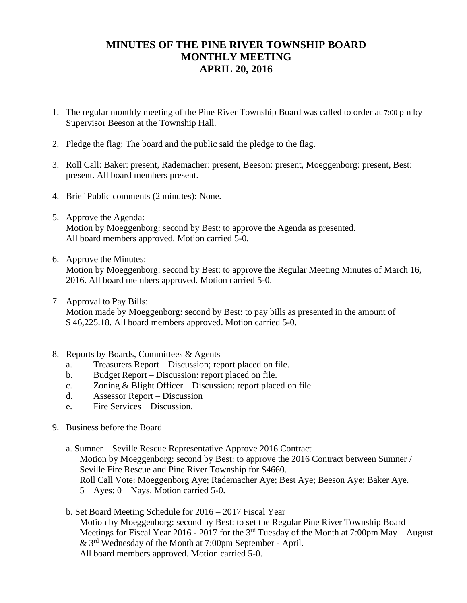## **MINUTES OF THE PINE RIVER TOWNSHIP BOARD MONTHLY MEETING APRIL 20, 2016**

- 1. The regular monthly meeting of the Pine River Township Board was called to order at 7:00 pm by Supervisor Beeson at the Township Hall.
- 2. Pledge the flag: The board and the public said the pledge to the flag.
- 3. Roll Call: Baker: present, Rademacher: present, Beeson: present, Moeggenborg: present, Best: present. All board members present.
- 4. Brief Public comments (2 minutes): None.
- 5. Approve the Agenda: Motion by Moeggenborg: second by Best: to approve the Agenda as presented. All board members approved. Motion carried 5-0.
- 6. Approve the Minutes:

Motion by Moeggenborg: second by Best: to approve the Regular Meeting Minutes of March 16, 2016. All board members approved. Motion carried 5-0.

- 7. Approval to Pay Bills: Motion made by Moeggenborg: second by Best: to pay bills as presented in the amount of \$ 46,225.18. All board members approved. Motion carried 5-0.
- 8. Reports by Boards, Committees & Agents
	- a. Treasurers Report Discussion; report placed on file.
	- b. Budget Report Discussion: report placed on file.
	- c. Zoning & Blight Officer Discussion: report placed on file
	- d. Assessor Report Discussion
	- e. Fire Services Discussion.
- 9. Business before the Board
	- a. Sumner Seville Rescue Representative Approve 2016 Contract Motion by Moeggenborg: second by Best: to approve the 2016 Contract between Sumner / Seville Fire Rescue and Pine River Township for \$4660. Roll Call Vote: Moeggenborg Aye; Rademacher Aye; Best Aye; Beeson Aye; Baker Aye.  $5 - Ayes$ ;  $0 - Nays$ . Motion carried 5-0.
	- b. Set Board Meeting Schedule for 2016 2017 Fiscal Year Motion by Moeggenborg: second by Best: to set the Regular Pine River Township Board Meetings for Fiscal Year 2016 - 2017 for the 3<sup>rd</sup> Tuesday of the Month at 7:00pm May – August & 3rd Wednesday of the Month at 7:00pm September - April. All board members approved. Motion carried 5-0.